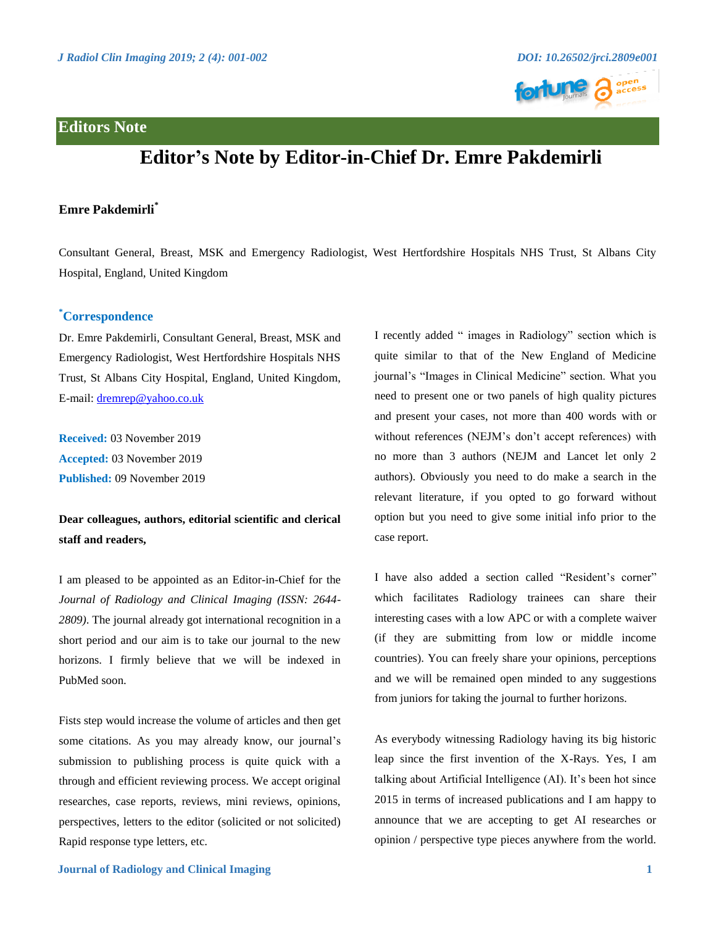

## **Editor's Note by Editor-in-Chief Dr. Emre Pakdemirli**

## **Emre Pakdemirli\***

Consultant General, Breast, MSK and Emergency Radiologist, West Hertfordshire Hospitals NHS Trust, St Albans City Hospital, England, United Kingdom

## **\*Correspondence**

Dr. Emre Pakdemirli, Consultant General, Breast, MSK and Emergency Radiologist, West Hertfordshire Hospitals NHS Trust, St Albans City Hospital, England, United Kingdom, E-mail: [dremrep@yahoo.co.uk](mailto:dremrep@yahoo.co.uk)

**Received:** 03 November 2019 **Accepted:** 03 November 2019 **Published:** 09 November 2019

## **Dear colleagues, authors, editorial scientific and clerical staff and readers,**

I am pleased to be appointed as an Editor-in-Chief for the *Journal of Radiology and Clinical Imaging (ISSN: 2644- 2809)*. The journal already got international recognition in a short period and our aim is to take our journal to the new horizons. I firmly believe that we will be indexed in PubMed soon.

Fists step would increase the volume of articles and then get some citations. As you may already know, our journal's submission to publishing process is quite quick with a through and efficient reviewing process. We accept original researches, case reports, reviews, mini reviews, opinions, perspectives, letters to the editor (solicited or not solicited) Rapid response type letters, etc.

I recently added " images in Radiology" section which is quite similar to that of the New England of Medicine journal's "Images in Clinical Medicine" section. What you need to present one or two panels of high quality pictures and present your cases, not more than 400 words with or without references (NEJM's don't accept references) with no more than 3 authors (NEJM and Lancet let only 2 authors). Obviously you need to do make a search in the relevant literature, if you opted to go forward without option but you need to give some initial info prior to the case report.

I have also added a section called "Resident's corner" which facilitates Radiology trainees can share their interesting cases with a low APC or with a complete waiver (if they are submitting from low or middle income countries). You can freely share your opinions, perceptions and we will be remained open minded to any suggestions from juniors for taking the journal to further horizons.

As everybody witnessing Radiology having its big historic leap since the first invention of the X-Rays. Yes, I am talking about Artificial Intelligence (AI). It's been hot since 2015 in terms of increased publications and I am happy to announce that we are accepting to get AI researches or opinion / perspective type pieces anywhere from the world.